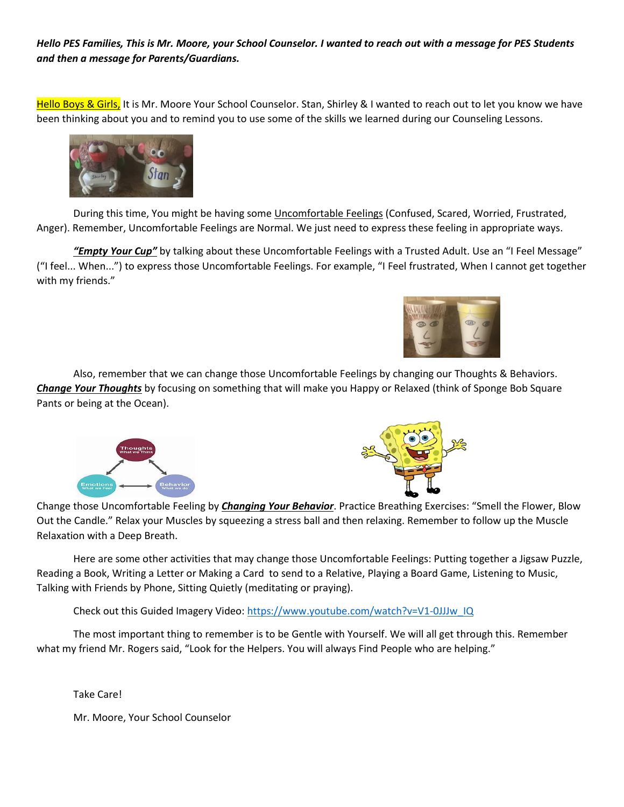#### *Hello PES Families, This is Mr. Moore, your School Counselor. I wanted to reach out with a message for PES Students and then a message for Parents/Guardians.*

Hello Boys & Girls, It is Mr. Moore Your School Counselor. Stan, Shirley & I wanted to reach out to let you know we have been thinking about you and to remind you to use some of the skills we learned during our Counseling Lessons.



During this time, You might be having some *Uncomfortable Feelings* (Confused, Scared, Worried, Frustrated, Anger). Remember, Uncomfortable Feelings are Normal. We just need to express these feeling in appropriate ways.

*"Empty Your Cup"* by talking about these Uncomfortable Feelings with a Trusted Adult. Use an "I Feel Message" ("I feel... When...") to express those Uncomfortable Feelings. For example, "I Feel frustrated, When I cannot get together with my friends."



Also, remember that we can change those Uncomfortable Feelings by changing our Thoughts & Behaviors. *Change Your Thoughts* by focusing on something that will make you Happy or Relaxed (think of Sponge Bob Square Pants or being at the Ocean).





Change those Uncomfortable Feeling by *Changing Your Behavior*. Practice Breathing Exercises: "Smell the Flower, Blow Out the Candle." Relax your Muscles by squeezing a stress ball and then relaxing. Remember to follow up the Muscle Relaxation with a Deep Breath.

Here are some other activities that may change those Uncomfortable Feelings: Putting together a Jigsaw Puzzle, Reading a Book, Writing a Letter or Making a Card to send to a Relative, Playing a Board Game, Listening to Music, Talking with Friends by Phone, Sitting Quietly (meditating or praying).

Check out this Guided Imagery Video: [https://www.youtube.com/watch?v=V1-0JJJw\\_IQ](https://www.youtube.com/watch?v=V1-0JJJw_IQ)

The most important thing to remember is to be Gentle with Yourself. We will all get through this. Remember what my friend Mr. Rogers said, "Look for the Helpers. You will always Find People who are helping."

Take Care!

Mr. Moore, Your School Counselor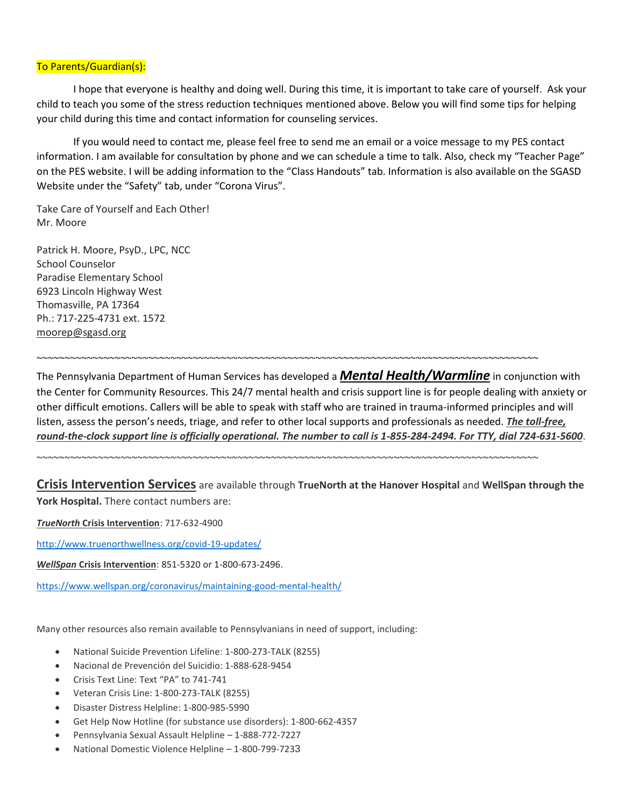#### To Parents/Guardian(s):

I hope that everyone is healthy and doing well. During this time, it is important to take care of yourself. Ask your child to teach you some of the stress reduction techniques mentioned above. Below you will find some tips for helping your child during this time and contact information for counseling services.

If you would need to contact me, please feel free to send me an email or a voice message to my PES contact information. I am available for consultation by phone and we can schedule a time to talk. Also, check my "Teacher Page" on the PES website. I will be adding information to the "Class Handouts" tab. Information is also available on the SGASD Website under the "Safety" tab, under "Corona Virus".

Take Care of Yourself and Each Other! Mr. Moore

Patrick H. Moore, PsyD., LPC, NCC School Counselor Paradise Elementary School 6923 Lincoln Highway West Thomasville, PA 17364 Ph.: 717-225-4731 ext. 1572 [moorep@sgasd.org](mailto:moorep@sgasd.org)

The Pennsylvania Department of Human Services has developed a *Mental Health/Warmline* in conjunction with the Center for Community Resources. This 24/7 mental health and crisis support line is for people dealing with anxiety or other difficult emotions. Callers will be able to speak with staff who are trained in trauma-informed principles and will listen, assess the person's needs, triage, and refer to other local supports and professionals as needed. *The toll-free, round-the-clock support line is officially operational. The number to call is 1-855-284-2494. For TTY, dial 724-631-5600*.

~~~~~~~~~~~~~~~~~~~~~~~~~~~~~~~~~~~~~~~~~~~~~~~~~~~~~~~~~~~~~~~~~~~~~~~~~~~~~~~~~~~~~~~~~~

~~~~~~~~~~~~~~~~~~~~~~~~~~~~~~~~~~~~~~~~~~~~~~~~~~~~~~~~~~~~~~~~~~~~~~~~~~~~~~~~~~~~~~~~~~

**Crisis Intervention Services** are available through **TrueNorth at the Hanover Hospital** and **WellSpan through the York Hospital.** There contact numbers are:

*TrueNorth* **Crisis Intervention**: 717-632-4900

<http://www.truenorthwellness.org/covid-19-updates/>

*WellSpan* **Crisis Intervention**: 851-5320 or 1-800-673-2496.

<https://www.wellspan.org/coronavirus/maintaining-good-mental-health/>

Many other resources also remain available to Pennsylvanians in need of support, including:

- National Suicide Prevention Lifeline: 1-800-273-TALK (8255)
- Nacional de Prevención del Suicidio: 1-888-628-9454
- Crisis Text Line: Text "PA" to 741-741
- Veteran Crisis Line: 1-800-273-TALK (8255)
- Disaster Distress Helpline: 1-800-985-5990
- Get Help Now Hotline (for substance use disorders): 1-800-662-4357
- Pennsylvania Sexual Assault Helpline 1-888-772-7227
- National Domestic Violence Helpline 1-800-799-7233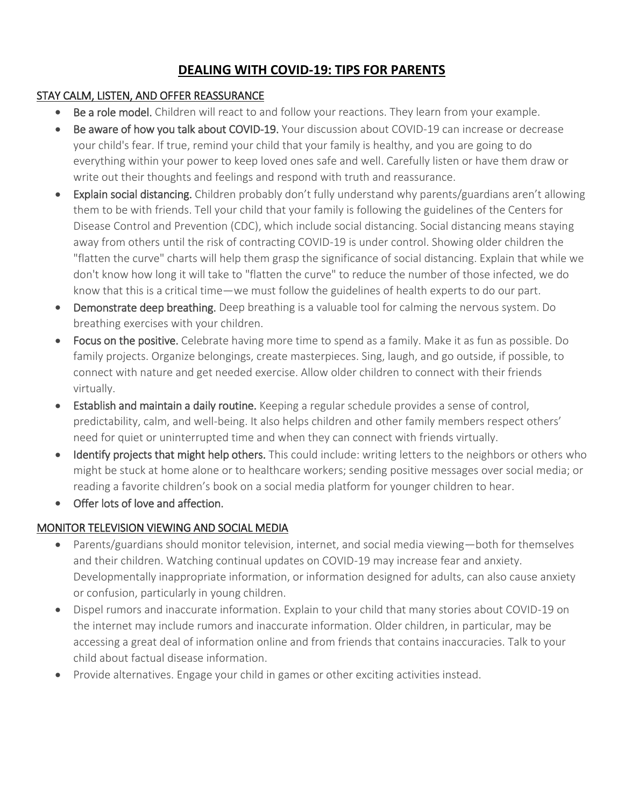# **DEALING WITH COVID-19: TIPS FOR PARENTS**

## STAY CALM, LISTEN, AND OFFER REASSURANCE

- Be a role model. Children will react to and follow your reactions. They learn from your example.
- Be aware of how you talk about COVID-19. Your discussion about COVID-19 can increase or decrease your child's fear. If true, remind your child that your family is healthy, and you are going to do everything within your power to keep loved ones safe and well. Carefully listen or have them draw or write out their thoughts and feelings and respond with truth and reassurance.
- Explain social distancing. Children probably don't fully understand why parents/guardians aren't allowing them to be with friends. Tell your child that your family is following the guidelines of the Centers for Disease Control and Prevention (CDC), which include social distancing. Social distancing means staying away from others until the risk of contracting COVID-19 is under control. Showing older children the "flatten the curve" charts will help them grasp the significance of social distancing. Explain that while we don't know how long it will take to "flatten the curve" to reduce the number of those infected, we do know that this is a critical time—we must follow the guidelines of health experts to do our part.
- **Demonstrate deep breathing.** Deep breathing is a valuable tool for calming the nervous system. Do breathing exercises with your children.
- Focus on the positive. Celebrate having more time to spend as a family. Make it as fun as possible. Do family projects. Organize belongings, create masterpieces. Sing, laugh, and go outside, if possible, to connect with nature and get needed exercise. Allow older children to connect with their friends virtually.
- Establish and maintain a daily routine. Keeping a regular schedule provides a sense of control, predictability, calm, and well-being. It also helps children and other family members respect others' need for quiet or uninterrupted time and when they can connect with friends virtually.
- Identify projects that might help others. This could include: writing letters to the neighbors or others who might be stuck at home alone or to healthcare workers; sending positive messages over social media; or reading a favorite children's book on a social media platform for younger children to hear.
- Offer lots of love and affection.

## MONITOR TELEVISION VIEWING AND SOCIAL MEDIA

- Parents/guardians should monitor television, internet, and social media viewing—both for themselves and their children. Watching continual updates on COVID-19 may increase fear and anxiety. Developmentally inappropriate information, or information designed for adults, can also cause anxiety or confusion, particularly in young children.
- Dispel rumors and inaccurate information. Explain to your child that many stories about COVID-19 on the internet may include rumors and inaccurate information. Older children, in particular, may be accessing a great deal of information online and from friends that contains inaccuracies. Talk to your child about factual disease information.
- Provide alternatives. Engage your child in games or other exciting activities instead.